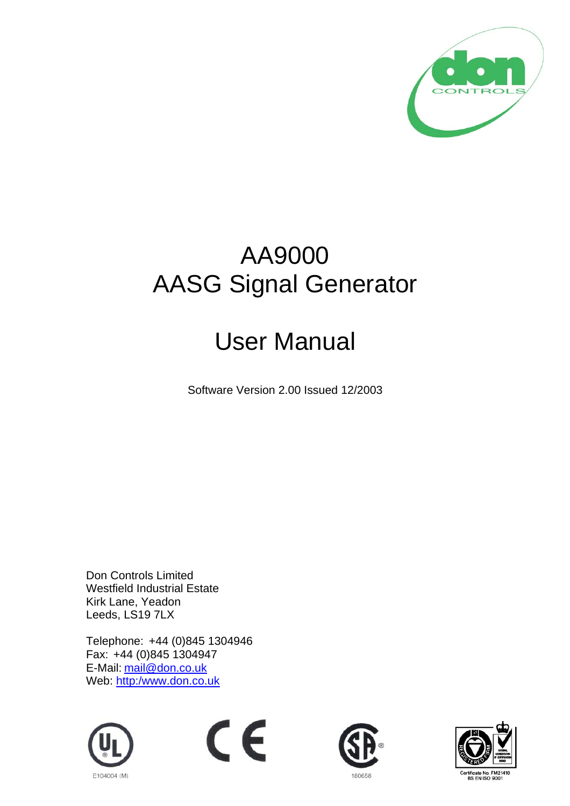

## AA9000 AASG Signal Generator

# User Manual

Software Version 2.00 Issued 12/2003

Don Controls Limited Westfield Industrial Estate Kirk Lane, Yeadon Leeds, LS19 7LX

Telephone: +44 (0)845 1304946 Fax: +44 (0)845 1304947 E-Mail: mail@don.co.uk Web: http:/www.don.co.uk